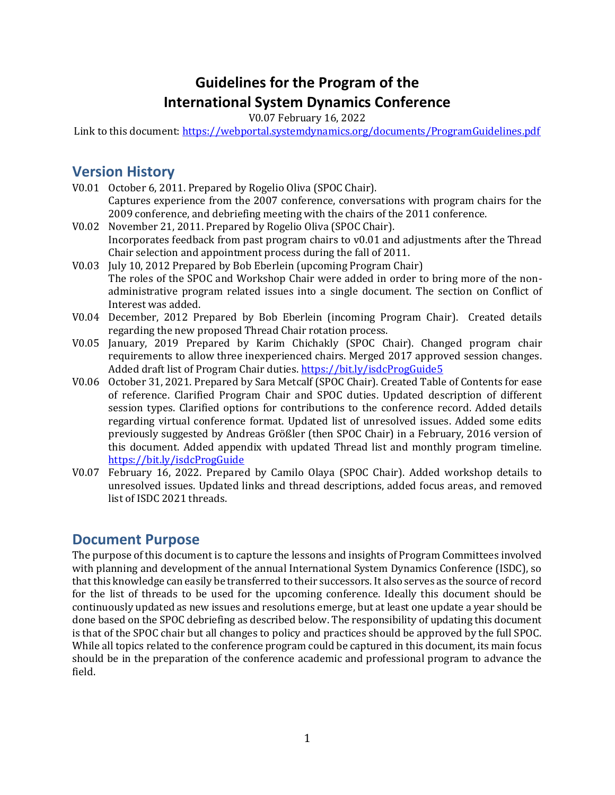# **Guidelines for the Program of the International System Dynamics Conference**

V0.07 February 16, 2022

<span id="page-0-0"></span>Link to this document:<https://webportal.systemdynamics.org/documents/ProgramGuidelines.pdf>

## **Version History**

- V0.01 October 6, 2011. Prepared by Rogelio Oliva (SPOC Chair). Captures experience from the 2007 conference, conversations with program chairs for the 2009 conference, and debriefing meeting with the chairs of the 2011 conference.
- V0.02 November 21, 2011. Prepared by Rogelio Oliva (SPOC Chair). Incorporates feedback from past program chairs to v0.01 and adjustments after the Thread Chair selection and appointment process during the fall of 2011.
- V0.03 July 10, 2012 Prepared by Bob Eberlein (upcoming Program Chair) The roles of the SPOC and Workshop Chair were added in order to bring more of the nonadministrative program related issues into a single document. The section on Conflict of Interest was added.
- V0.04 December, 2012 Prepared by Bob Eberlein (incoming Program Chair). Created details regarding the new proposed Thread Chair rotation process.
- V0.05 January, 2019 Prepared by Karim Chichakly (SPOC Chair). Changed program chair requirements to allow three inexperienced chairs. Merged 2017 approved session changes. Added draft list of Program Chair duties.<https://bit.ly/isdcProgGuide5>
- V0.06 October 31, 2021. Prepared by Sara Metcalf (SPOC Chair). Created Table of Contents for ease of reference. Clarified Program Chair and SPOC duties. Updated description of different session types. Clarified options for contributions to the conference record. Added details regarding virtual conference format. Updated list of unresolved issues. Added some edits previously suggested by Andreas Größler (then SPOC Chair) in a February, 2016 version of this document. Added appendix with updated Thread list and monthly program timeline. <https://bit.ly/isdcProgGuide>
- V0.07 February 16, 2022. Prepared by Camilo Olaya (SPOC Chair). Added workshop details to unresolved issues. Updated links and thread descriptions, added focus areas, and removed list of ISDC 2021 threads.

### <span id="page-0-1"></span>**Document Purpose**

The purpose of this document is to capture the lessons and insights of Program Committees involved with planning and development of the annual International System Dynamics Conference (ISDC), so that this knowledge can easily be transferred to their successors. It also serves as the source of record for the list of threads to be used for the upcoming conference. Ideally this document should be continuously updated as new issues and resolutions emerge, but at least one update a year should be done based on the SPOC debriefing as described below. The responsibility of updating this document is that of the SPOC chair but all changes to policy and practices should be approved by the full SPOC. While all topics related to the conference program could be captured in this document, its main focus should be in the preparation of the conference academic and professional program to advance the field.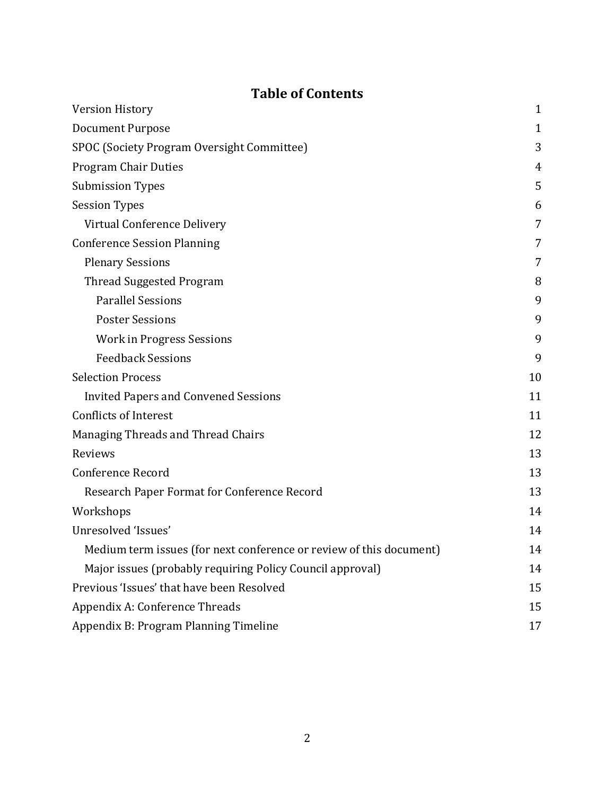## **Table of Contents**

| <b>Version History</b>                                              |             |  |
|---------------------------------------------------------------------|-------------|--|
| <b>Document Purpose</b>                                             | $\mathbf 1$ |  |
| SPOC (Society Program Oversight Committee)                          | 3           |  |
| <b>Program Chair Duties</b>                                         | 4           |  |
| <b>Submission Types</b>                                             | 5           |  |
| <b>Session Types</b>                                                | 6           |  |
| Virtual Conference Delivery                                         | 7           |  |
| <b>Conference Session Planning</b>                                  | 7           |  |
| <b>Plenary Sessions</b>                                             | 7           |  |
| <b>Thread Suggested Program</b>                                     | 8           |  |
| <b>Parallel Sessions</b>                                            | 9           |  |
| <b>Poster Sessions</b>                                              | 9           |  |
| <b>Work in Progress Sessions</b>                                    | 9           |  |
| <b>Feedback Sessions</b>                                            | 9           |  |
| <b>Selection Process</b>                                            | 10          |  |
| <b>Invited Papers and Convened Sessions</b>                         | 11          |  |
| <b>Conflicts of Interest</b>                                        | 11          |  |
| <b>Managing Threads and Thread Chairs</b>                           | 12          |  |
| Reviews                                                             | 13          |  |
| <b>Conference Record</b>                                            | 13          |  |
| Research Paper Format for Conference Record                         | 13          |  |
| Workshops                                                           | 14          |  |
| Unresolved 'Issues'                                                 | 14          |  |
| Medium term issues (for next conference or review of this document) | 14          |  |
| Major issues (probably requiring Policy Council approval)           | 14          |  |
| Previous 'Issues' that have been Resolved                           |             |  |
| Appendix A: Conference Threads                                      |             |  |
| Appendix B: Program Planning Timeline                               |             |  |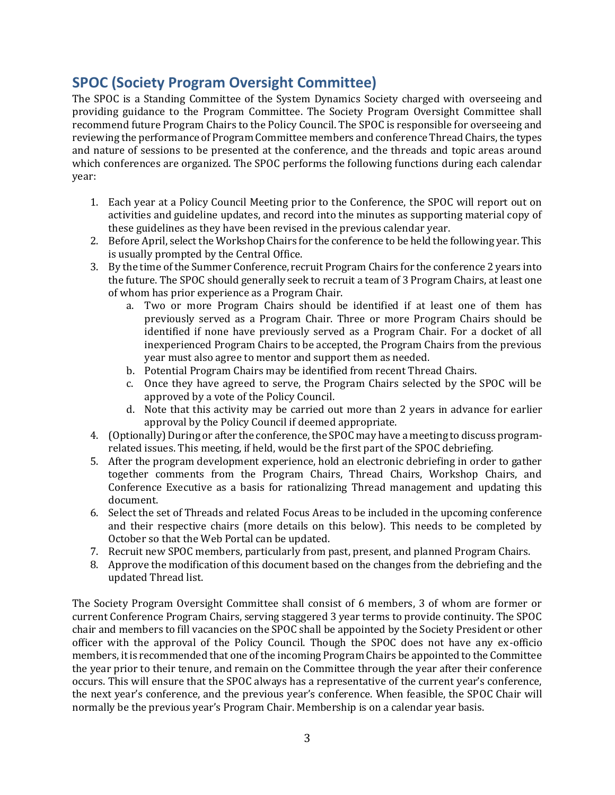# <span id="page-2-0"></span>**SPOC (Society Program Oversight Committee)**

The SPOC is a Standing Committee of the System Dynamics Society charged with overseeing and providing guidance to the Program Committee. The Society Program Oversight Committee shall recommend future Program Chairs to the Policy Council. The SPOC is responsible for overseeing and reviewing the performance of Program Committee members and conference Thread Chairs, the types and nature of sessions to be presented at the conference, and the threads and topic areas around which conferences are organized. The SPOC performs the following functions during each calendar year:

- 1. Each year at a Policy Council Meeting prior to the Conference, the SPOC will report out on activities and guideline updates, and record into the minutes as supporting material copy of these guidelines as they have been revised in the previous calendar year.
- 2. Before April, select the Workshop Chairs for the conference to be held the following year. This is usually prompted by the Central Office.
- 3. By the time of the Summer Conference, recruit Program Chairs for the conference 2 years into the future. The SPOC should generally seek to recruit a team of 3 Program Chairs, at least one of whom has prior experience as a Program Chair.
	- a. Two or more Program Chairs should be identified if at least one of them has previously served as a Program Chair. Three or more Program Chairs should be identified if none have previously served as a Program Chair. For a docket of all inexperienced Program Chairs to be accepted, the Program Chairs from the previous year must also agree to mentor and support them as needed.
	- b. Potential Program Chairs may be identified from recent Thread Chairs.
	- c. Once they have agreed to serve, the Program Chairs selected by the SPOC will be approved by a vote of the Policy Council.
	- d. Note that this activity may be carried out more than 2 years in advance for earlier approval by the Policy Council if deemed appropriate.
- 4. (Optionally) During or after the conference, the SPOC may have a meeting to discuss programrelated issues. This meeting, if held, would be the first part of the SPOC debriefing.
- 5. After the program development experience, hold an electronic debriefing in order to gather together comments from the Program Chairs, Thread Chairs, Workshop Chairs, and Conference Executive as a basis for rationalizing Thread management and updating this document.
- 6. Select the set of Threads and related Focus Areas to be included in the upcoming conference and their respective chairs (more details on this below). This needs to be completed by October so that the Web Portal can be updated.
- 7. Recruit new SPOC members, particularly from past, present, and planned Program Chairs.
- 8. Approve the modification of this document based on the changes from the debriefing and the updated Thread list.

The Society Program Oversight Committee shall consist of 6 members, 3 of whom are former or current Conference Program Chairs, serving staggered 3 year terms to provide continuity. The SPOC chair and members to fill vacancies on the SPOC shall be appointed by the Society President or other officer with the approval of the Policy Council. Though the SPOC does not have any ex-officio members, it is recommended that one of the incoming Program Chairs be appointed to the Committee the year prior to their tenure, and remain on the Committee through the year after their conference occurs. This will ensure that the SPOC always has a representative of the current year's conference, the next year's conference, and the previous year's conference. When feasible, the SPOC Chair will normally be the previous year's Program Chair. Membership is on a calendar year basis.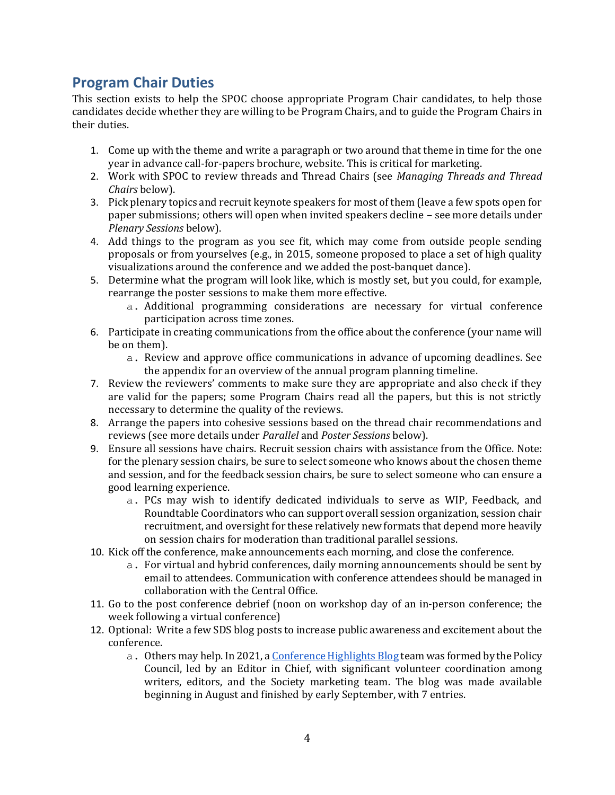## <span id="page-3-0"></span>**Program Chair Duties**

This section exists to help the SPOC choose appropriate Program Chair candidates, to help those candidates decide whether they are willing to be Program Chairs, and to guide the Program Chairs in their duties.

- 1. Come up with the theme and write a paragraph or two around that theme in time for the one year in advance call-for-papers brochure, website. This is critical for marketing.
- 2. Work with SPOC to review threads and Thread Chairs (see *Managing Threads and Thread Chairs* below).
- 3. Pick plenary topics and recruit keynote speakers for most of them (leave a few spots open for paper submissions; others will open when invited speakers decline – see more details under *Plenary Sessions* below).
- 4. Add things to the program as you see fit, which may come from outside people sending proposals or from yourselves (e.g., in 2015, someone proposed to place a set of high quality visualizations around the conference and we added the post-banquet dance).
- 5. Determine what the program will look like, which is mostly set, but you could, for example, rearrange the poster sessions to make them more effective.
	- a. Additional programming considerations are necessary for virtual conference participation across time zones.
- 6. Participate in creating communications from the office about the conference (your name will be on them).
	- a. Review and approve office communications in advance of upcoming deadlines. See the appendix for an overview of the annual program planning timeline.
- 7. Review the reviewers' comments to make sure they are appropriate and also check if they are valid for the papers; some Program Chairs read all the papers, but this is not strictly necessary to determine the quality of the reviews.
- 8. Arrange the papers into cohesive sessions based on the thread chair recommendations and reviews (see more details under *Parallel* and *Poster Sessions* below).
- 9. Ensure all sessions have chairs. Recruit session chairs with assistance from the Office. Note: for the plenary session chairs, be sure to select someone who knows about the chosen theme and session, and for the feedback session chairs, be sure to select someone who can ensure a good learning experience.
	- a. PCs may wish to identify dedicated individuals to serve as WIP, Feedback, and Roundtable Coordinators who can support overall session organization, session chair recruitment, and oversight for these relatively new formats that depend more heavily on session chairs for moderation than traditional parallel sessions.
- 10. Kick off the conference, make announcements each morning, and close the conference.
	- a. For virtual and hybrid conferences, daily morning announcements should be sent by email to attendees. Communication with conference attendees should be managed in collaboration with the Central Office.
- 11. Go to the post conference debrief (noon on workshop day of an in-person conference; the week following a virtual conference)
- 12. Optional: Write a few SDS blog posts to increase public awareness and excitement about the conference.
	- a. Others may help. In 2021, [a Conference Highlights Blog](https://systemdynamics.org/category/system-dynamics-blog/conference-highlights/) team was formed by the Policy Council, led by an Editor in Chief, with significant volunteer coordination among writers, editors, and the Society marketing team. The blog was made available beginning in August and finished by early September, with 7 entries.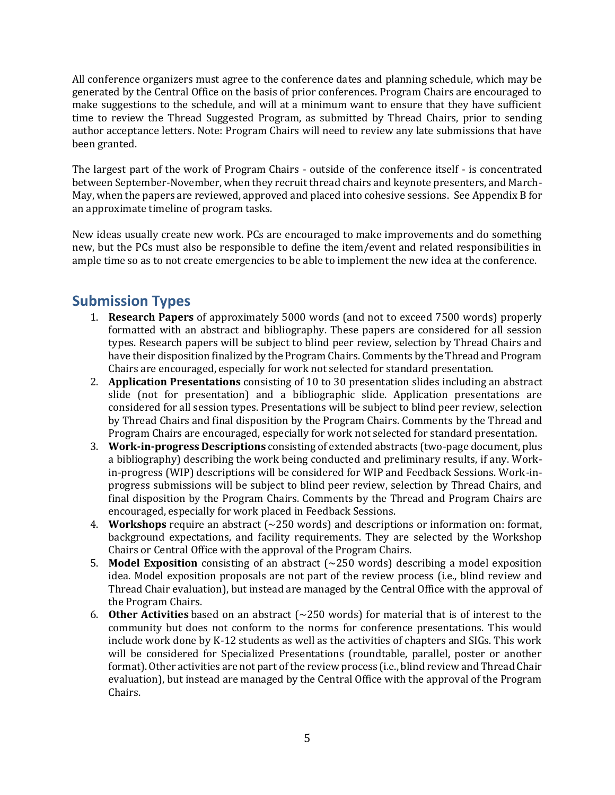All conference organizers must agree to the conference dates and planning schedule, which may be generated by the Central Office on the basis of prior conferences. Program Chairs are encouraged to make suggestions to the schedule, and will at a minimum want to ensure that they have sufficient time to review the Thread Suggested Program, as submitted by Thread Chairs, prior to sending author acceptance letters. Note: Program Chairs will need to review any late submissions that have been granted.

The largest part of the work of Program Chairs - outside of the conference itself - is concentrated between September-November, when they recruit thread chairs and keynote presenters, and March-May, when the papers are reviewed, approved and placed into cohesive sessions. See Appendix B for an approximate timeline of program tasks.

New ideas usually create new work. PCs are encouraged to make improvements and do something new, but the PCs must also be responsible to define the item/event and related responsibilities in ample time so as to not create emergencies to be able to implement the new idea at the conference.

# <span id="page-4-0"></span>**Submission Types**

- 1. **Research Papers** of approximately 5000 words (and not to exceed 7500 words) properly formatted with an abstract and bibliography. These papers are considered for all session types. Research papers will be subject to blind peer review, selection by Thread Chairs and have their disposition finalized by the Program Chairs. Comments by the Thread and Program Chairs are encouraged, especially for work not selected for standard presentation.
- 2. **Application Presentations** consisting of 10 to 30 presentation slides including an abstract slide (not for presentation) and a bibliographic slide. Application presentations are considered for all session types. Presentations will be subject to blind peer review, selection by Thread Chairs and final disposition by the Program Chairs. Comments by the Thread and Program Chairs are encouraged, especially for work not selected for standard presentation.
- 3. **Work-in-progress Descriptions** consisting of extended abstracts (two-page document, plus a bibliography) describing the work being conducted and preliminary results, if any. Workin-progress (WIP) descriptions will be considered for WIP and Feedback Sessions. Work-inprogress submissions will be subject to blind peer review, selection by Thread Chairs, and final disposition by the Program Chairs. Comments by the Thread and Program Chairs are encouraged, especially for work placed in Feedback Sessions.
- 4. **Workshops** require an abstract (~250 words) and descriptions or information on: format, background expectations, and facility requirements. They are selected by the Workshop Chairs or Central Office with the approval of the Program Chairs.
- 5. **Model Exposition** consisting of an abstract (~250 words) describing a model exposition idea. Model exposition proposals are not part of the review process (i.e., blind review and Thread Chair evaluation), but instead are managed by the Central Office with the approval of the Program Chairs.
- 6. **Other Activities** based on an abstract (~250 words) for material that is of interest to the community but does not conform to the norms for conference presentations. This would include work done by K-12 students as well as the activities of chapters and SIGs. This work will be considered for Specialized Presentations (roundtable, parallel, poster or another format). Other activities are not part of the review process (i.e., blind review and Thread Chair evaluation), but instead are managed by the Central Office with the approval of the Program Chairs.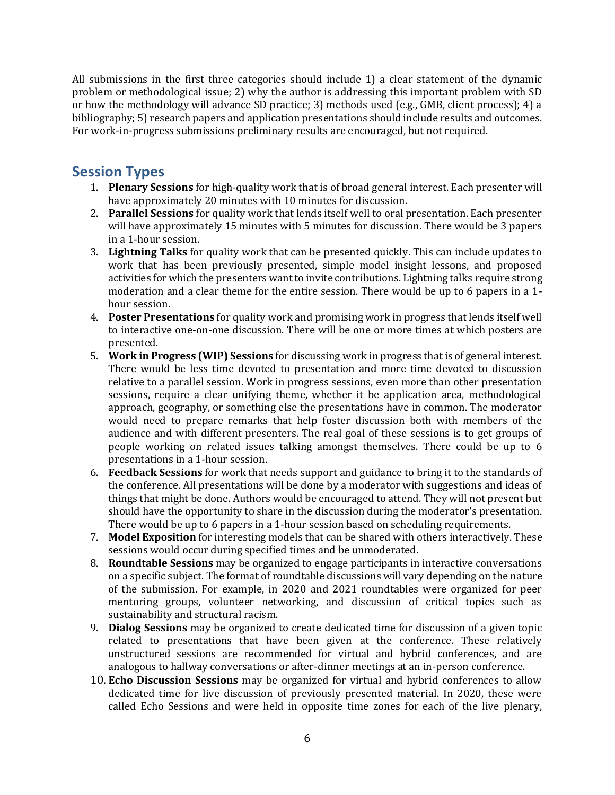All submissions in the first three categories should include 1) a clear statement of the dynamic problem or methodological issue; 2) why the author is addressing this important problem with SD or how the methodology will advance SD practice; 3) methods used (e.g., GMB, client process); 4) a bibliography; 5) research papers and application presentations should include results and outcomes. For work-in-progress submissions preliminary results are encouraged, but not required.

### <span id="page-5-0"></span>**Session Types**

- 1. **Plenary Sessions** for high-quality work that is of broad general interest. Each presenter will have approximately 20 minutes with 10 minutes for discussion.
- 2. **Parallel Sessions** for quality work that lends itself well to oral presentation. Each presenter will have approximately 15 minutes with 5 minutes for discussion. There would be 3 papers in a 1-hour session.
- 3. **Lightning Talks** for quality work that can be presented quickly. This can include updates to work that has been previously presented, simple model insight lessons, and proposed activities for which the presenters want to invite contributions. Lightning talks require strong moderation and a clear theme for the entire session. There would be up to 6 papers in a 1 hour session.
- 4. **Poster Presentations** for quality work and promising work in progress that lends itself well to interactive one-on-one discussion. There will be one or more times at which posters are presented.
- 5. **Work in Progress (WIP) Sessions** for discussing work in progress that is of general interest. There would be less time devoted to presentation and more time devoted to discussion relative to a parallel session. Work in progress sessions, even more than other presentation sessions, require a clear unifying theme, whether it be application area, methodological approach, geography, or something else the presentations have in common. The moderator would need to prepare remarks that help foster discussion both with members of the audience and with different presenters. The real goal of these sessions is to get groups of people working on related issues talking amongst themselves. There could be up to 6 presentations in a 1-hour session.
- 6. **Feedback Sessions** for work that needs support and guidance to bring it to the standards of the conference. All presentations will be done by a moderator with suggestions and ideas of things that might be done. Authors would be encouraged to attend. They will not present but should have the opportunity to share in the discussion during the moderator's presentation. There would be up to 6 papers in a 1-hour session based on scheduling requirements.
- 7. **Model Exposition** for interesting models that can be shared with others interactively. These sessions would occur during specified times and be unmoderated.
- 8. **Roundtable Sessions** may be organized to engage participants in interactive conversations on a specific subject. The format of roundtable discussions will vary depending on the nature of the submission. For example, in 2020 and 2021 roundtables were organized for peer mentoring groups, volunteer networking, and discussion of critical topics such as sustainability and structural racism.
- 9. **Dialog Sessions** may be organized to create dedicated time for discussion of a given topic related to presentations that have been given at the conference. These relatively unstructured sessions are recommended for virtual and hybrid conferences, and are analogous to hallway conversations or after-dinner meetings at an in-person conference.
- 10. **Echo Discussion Sessions** may be organized for virtual and hybrid conferences to allow dedicated time for live discussion of previously presented material. In 2020, these were called Echo Sessions and were held in opposite time zones for each of the live plenary,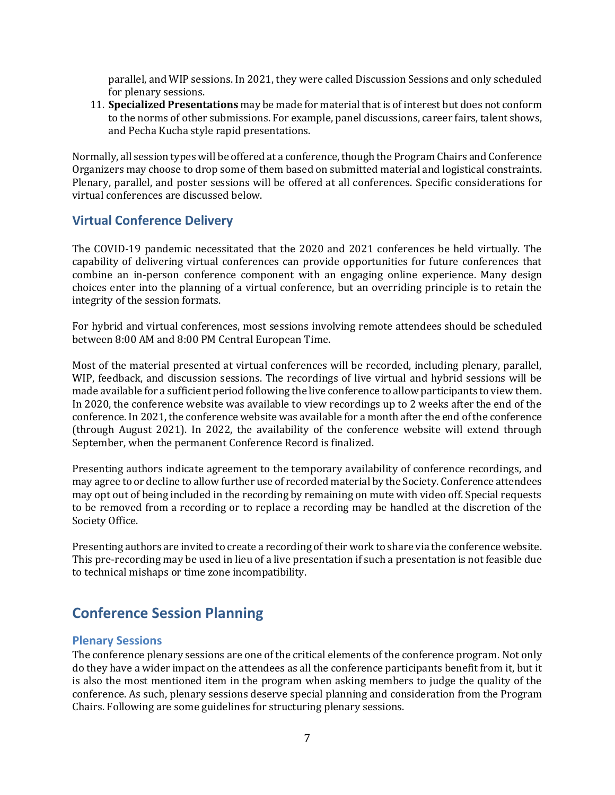parallel, and WIP sessions. In 2021, they were called Discussion Sessions and only scheduled for plenary sessions.

11. **Specialized Presentations** may be made for material that is of interest but does not conform to the norms of other submissions. For example, panel discussions, career fairs, talent shows, and Pecha Kucha style rapid presentations.

Normally, all session types will be offered at a conference, though the Program Chairs and Conference Organizers may choose to drop some of them based on submitted material and logistical constraints. Plenary, parallel, and poster sessions will be offered at all conferences. Specific considerations for virtual conferences are discussed below.

### <span id="page-6-0"></span>**Virtual Conference Delivery**

The COVID-19 pandemic necessitated that the 2020 and 2021 conferences be held virtually. The capability of delivering virtual conferences can provide opportunities for future conferences that combine an in-person conference component with an engaging online experience. Many design choices enter into the planning of a virtual conference, but an overriding principle is to retain the integrity of the session formats.

For hybrid and virtual conferences, most sessions involving remote attendees should be scheduled between 8:00 AM and 8:00 PM Central European Time.

Most of the material presented at virtual conferences will be recorded, including plenary, parallel, WIP, feedback, and discussion sessions. The recordings of live virtual and hybrid sessions will be made available for a sufficient period following the live conference to allow participants to view them. In 2020, the conference website was available to view recordings up to 2 weeks after the end of the conference. In 2021, the conference website was available for a month after the end of the conference (through August 2021). In 2022, the availability of the conference website will extend through September, when the permanent Conference Record is finalized.

Presenting authors indicate agreement to the temporary availability of conference recordings, and may agree to or decline to allow further use of recorded material by the Society. Conference attendees may opt out of being included in the recording by remaining on mute with video off. Special requests to be removed from a recording or to replace a recording may be handled at the discretion of the Society Office.

Presenting authors are invited to create a recording of their work to share via the conference website. This pre-recording may be used in lieu of a live presentation if such a presentation is not feasible due to technical mishaps or time zone incompatibility.

# <span id="page-6-1"></span>**Conference Session Planning**

#### <span id="page-6-2"></span>**Plenary Sessions**

The conference plenary sessions are one of the critical elements of the conference program. Not only do they have a wider impact on the attendees as all the conference participants benefit from it, but it is also the most mentioned item in the program when asking members to judge the quality of the conference. As such, plenary sessions deserve special planning and consideration from the Program Chairs. Following are some guidelines for structuring plenary sessions.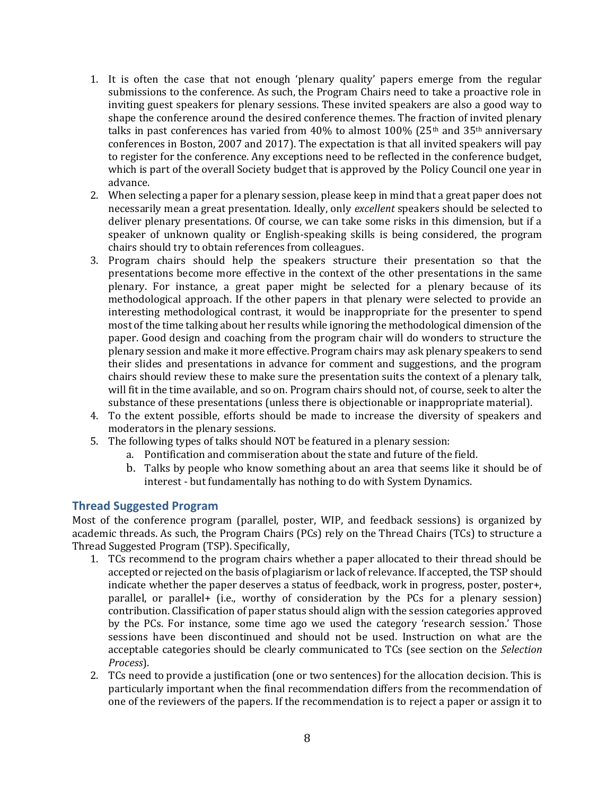- 1. It is often the case that not enough 'plenary quality' papers emerge from the regular submissions to the conference. As such, the Program Chairs need to take a proactive role in inviting guest speakers for plenary sessions. These invited speakers are also a good way to shape the conference around the desired conference themes. The fraction of invited plenary talks in past conferences has varied from 40% to almost 100% (25<sup>th</sup> and 35<sup>th</sup> anniversary conferences in Boston, 2007 and 2017). The expectation is that all invited speakers will pay to register for the conference. Any exceptions need to be reflected in the conference budget, which is part of the overall Society budget that is approved by the Policy Council one year in advance.
- 2. When selecting a paper for a plenary session, please keep in mind that a great paper does not necessarily mean a great presentation. Ideally, only *excellent* speakers should be selected to deliver plenary presentations. Of course, we can take some risks in this dimension, but if a speaker of unknown quality or English-speaking skills is being considered, the program chairs should try to obtain references from colleagues.
- 3. Program chairs should help the speakers structure their presentation so that the presentations become more effective in the context of the other presentations in the same plenary. For instance, a great paper might be selected for a plenary because of its methodological approach. If the other papers in that plenary were selected to provide an interesting methodological contrast, it would be inappropriate for the presenter to spend most of the time talking about her results while ignoring the methodological dimension of the paper. Good design and coaching from the program chair will do wonders to structure the plenary session and make it more effective. Program chairs may ask plenary speakers to send their slides and presentations in advance for comment and suggestions, and the program chairs should review these to make sure the presentation suits the context of a plenary talk, will fit in the time available, and so on. Program chairs should not, of course, seek to alter the substance of these presentations (unless there is objectionable or inappropriate material).
- 4. To the extent possible, efforts should be made to increase the diversity of speakers and moderators in the plenary sessions.
- 5. The following types of talks should NOT be featured in a plenary session:
	- a. Pontification and commiseration about the state and future of the field.
	- b. Talks by people who know something about an area that seems like it should be of interest - but fundamentally has nothing to do with System Dynamics.

#### <span id="page-7-0"></span>**Thread Suggested Program**

Most of the conference program (parallel, poster, WIP, and feedback sessions) is organized by academic threads. As such, the Program Chairs (PCs) rely on the Thread Chairs (TCs) to structure a Thread Suggested Program (TSP). Specifically,

- 1. TCs recommend to the program chairs whether a paper allocated to their thread should be accepted or rejected on the basis of plagiarism or lack of relevance. If accepted, the TSP should indicate whether the paper deserves a status of feedback, work in progress, poster, poster+, parallel, or parallel+ (i.e., worthy of consideration by the PCs for a plenary session) contribution. Classification of paper status should align with the session categories approved by the PCs. For instance, some time ago we used the category 'research session.' Those sessions have been discontinued and should not be used. Instruction on what are the acceptable categories should be clearly communicated to TCs (see section on the *Selection Process*).
- 2. TCs need to provide a justification (one or two sentences) for the allocation decision. This is particularly important when the final recommendation differs from the recommendation of one of the reviewers of the papers. If the recommendation is to reject a paper or assign it to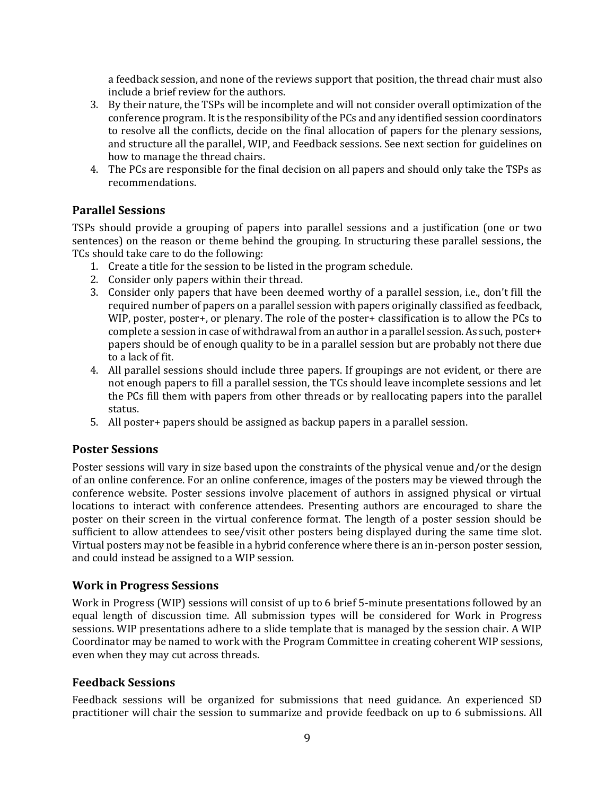a feedback session, and none of the reviews support that position, the thread chair must also include a brief review for the authors.

- 3. By their nature, the TSPs will be incomplete and will not consider overall optimization of the conference program. It is the responsibility of the PCs and any identified session coordinators to resolve all the conflicts, decide on the final allocation of papers for the plenary sessions, and structure all the parallel, WIP, and Feedback sessions. See next section for guidelines on how to manage the thread chairs.
- 4. The PCs are responsible for the final decision on all papers and should only take the TSPs as recommendations.

### <span id="page-8-0"></span>**Parallel Sessions**

TSPs should provide a grouping of papers into parallel sessions and a justification (one or two sentences) on the reason or theme behind the grouping. In structuring these parallel sessions, the TCs should take care to do the following:

- 1. Create a title for the session to be listed in the program schedule.
- 2. Consider only papers within their thread.
- 3. Consider only papers that have been deemed worthy of a parallel session, i.e., don't fill the required number of papers on a parallel session with papers originally classified as feedback, WIP, poster, poster+, or plenary. The role of the poster+ classification is to allow the PCs to complete a session in case of withdrawal from an author in a parallel session. As such, poster+ papers should be of enough quality to be in a parallel session but are probably not there due to a lack of fit.
- 4. All parallel sessions should include three papers. If groupings are not evident, or there are not enough papers to fill a parallel session, the TCs should leave incomplete sessions and let the PCs fill them with papers from other threads or by reallocating papers into the parallel status.
- 5. All poster+ papers should be assigned as backup papers in a parallel session.

### <span id="page-8-1"></span>**Poster Sessions**

Poster sessions will vary in size based upon the constraints of the physical venue and/or the design of an online conference. For an online conference, images of the posters may be viewed through the conference website. Poster sessions involve placement of authors in assigned physical or virtual locations to interact with conference attendees. Presenting authors are encouraged to share the poster on their screen in the virtual conference format. The length of a poster session should be sufficient to allow attendees to see/visit other posters being displayed during the same time slot. Virtual posters may not be feasible in a hybrid conference where there is an in-person poster session, and could instead be assigned to a WIP session.

### <span id="page-8-2"></span>**Work in Progress Sessions**

Work in Progress (WIP) sessions will consist of up to 6 brief 5-minute presentations followed by an equal length of discussion time. All submission types will be considered for Work in Progress sessions. WIP presentations adhere to a slide template that is managed by the session chair. A WIP Coordinator may be named to work with the Program Committee in creating coherent WIP sessions, even when they may cut across threads.

#### <span id="page-8-3"></span>**Feedback Sessions**

Feedback sessions will be organized for submissions that need guidance. An experienced SD practitioner will chair the session to summarize and provide feedback on up to 6 submissions. All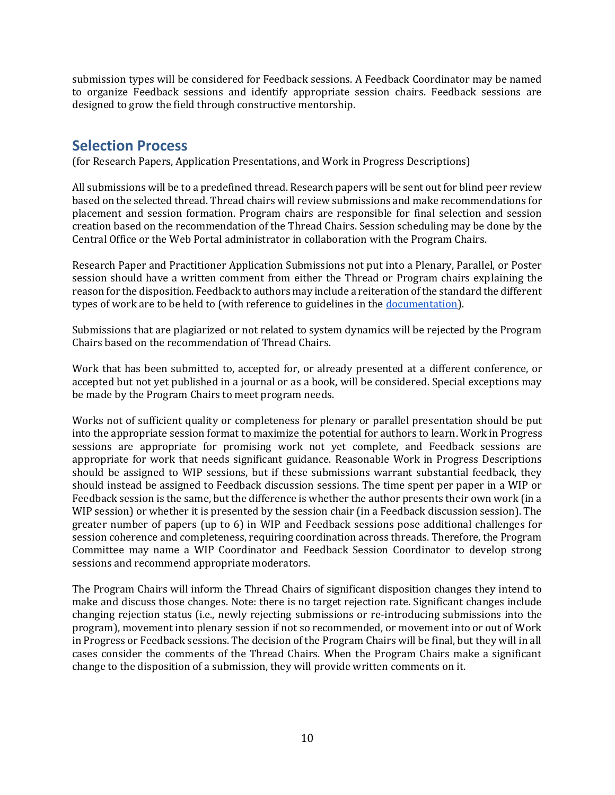submission types will be considered for Feedback sessions. A Feedback Coordinator may be named to organize Feedback sessions and identify appropriate session chairs. Feedback sessions are designed to grow the field through constructive mentorship.

## <span id="page-9-0"></span>**Selection Process**

(for Research Papers, Application Presentations, and Work in Progress Descriptions)

All submissions will be to a predefined thread. Research papers will be sent out for blind peer review based on the selected thread. Thread chairs will review submissions and make recommendations for placement and session formation. Program chairs are responsible for final selection and session creation based on the recommendation of the Thread Chairs. Session scheduling may be done by the Central Office or the Web Portal administrator in collaboration with the Program Chairs.

Research Paper and Practitioner Application Submissions not put into a Plenary, Parallel, or Poster session should have a written comment from either the Thread or Program chairs explaining the reason for the disposition. Feedback to authors may include a reiteration of the standard the different types of work are to be held to (with reference to guidelines in the [documentation\)](https://systemdynamics.org/conference/submission-system/).

Submissions that are plagiarized or not related to system dynamics will be rejected by the Program Chairs based on the recommendation of Thread Chairs.

Work that has been submitted to, accepted for, or already presented at a different conference, or accepted but not yet published in a journal or as a book, will be considered. Special exceptions may be made by the Program Chairs to meet program needs.

Works not of sufficient quality or completeness for plenary or parallel presentation should be put into the appropriate session format to maximize the potential for authors to learn. Work in Progress sessions are appropriate for promising work not yet complete, and Feedback sessions are appropriate for work that needs significant guidance. Reasonable Work in Progress Descriptions should be assigned to WIP sessions, but if these submissions warrant substantial feedback, they should instead be assigned to Feedback discussion sessions. The time spent per paper in a WIP or Feedback session is the same, but the difference is whether the author presents their own work (in a WIP session) or whether it is presented by the session chair (in a Feedback discussion session). The greater number of papers (up to 6) in WIP and Feedback sessions pose additional challenges for session coherence and completeness, requiring coordination across threads. Therefore, the Program Committee may name a WIP Coordinator and Feedback Session Coordinator to develop strong sessions and recommend appropriate moderators.

The Program Chairs will inform the Thread Chairs of significant disposition changes they intend to make and discuss those changes. Note: there is no target rejection rate. Significant changes include changing rejection status (i.e., newly rejecting submissions or re-introducing submissions into the program), movement into plenary session if not so recommended, or movement into or out of Work in Progress or Feedback sessions. The decision of the Program Chairs will be final, but they will in all cases consider the comments of the Thread Chairs. When the Program Chairs make a significant change to the disposition of a submission, they will provide written comments on it.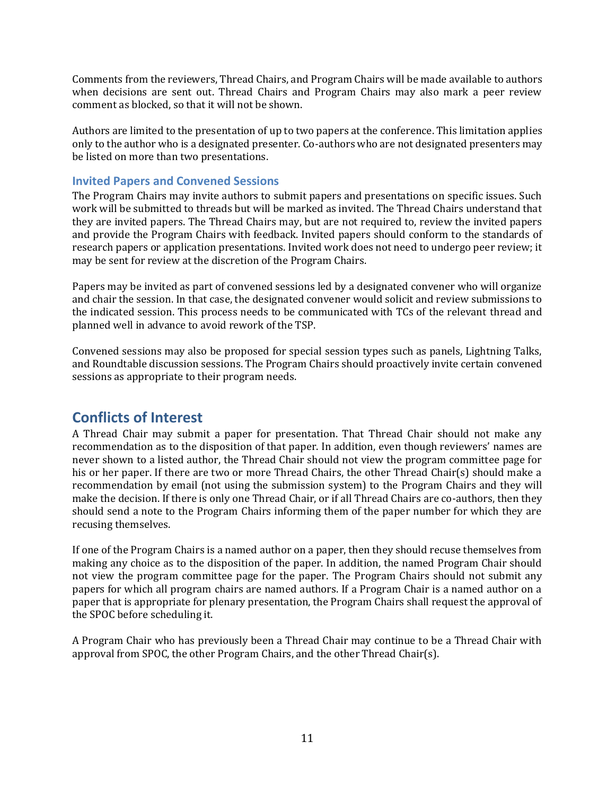Comments from the reviewers, Thread Chairs, and Program Chairs will be made available to authors when decisions are sent out. Thread Chairs and Program Chairs may also mark a peer review comment as blocked, so that it will not be shown.

Authors are limited to the presentation of up to two papers at the conference. This limitation applies only to the author who is a designated presenter. Co-authors who are not designated presenters may be listed on more than two presentations.

#### <span id="page-10-0"></span>**Invited Papers and Convened Sessions**

The Program Chairs may invite authors to submit papers and presentations on specific issues. Such work will be submitted to threads but will be marked as invited. The Thread Chairs understand that they are invited papers. The Thread Chairs may, but are not required to, review the invited papers and provide the Program Chairs with feedback. Invited papers should conform to the standards of research papers or application presentations. Invited work does not need to undergo peer review; it may be sent for review at the discretion of the Program Chairs.

Papers may be invited as part of convened sessions led by a designated convener who will organize and chair the session. In that case, the designated convener would solicit and review submissions to the indicated session. This process needs to be communicated with TCs of the relevant thread and planned well in advance to avoid rework of the TSP.

Convened sessions may also be proposed for special session types such as panels, Lightning Talks, and Roundtable discussion sessions. The Program Chairs should proactively invite certain convened sessions as appropriate to their program needs.

### <span id="page-10-1"></span>**Conflicts of Interest**

A Thread Chair may submit a paper for presentation. That Thread Chair should not make any recommendation as to the disposition of that paper. In addition, even though reviewers' names are never shown to a listed author, the Thread Chair should not view the program committee page for his or her paper. If there are two or more Thread Chairs, the other Thread Chair(s) should make a recommendation by email (not using the submission system) to the Program Chairs and they will make the decision. If there is only one Thread Chair, or if all Thread Chairs are co-authors, then they should send a note to the Program Chairs informing them of the paper number for which they are recusing themselves.

If one of the Program Chairs is a named author on a paper, then they should recuse themselves from making any choice as to the disposition of the paper. In addition, the named Program Chair should not view the program committee page for the paper. The Program Chairs should not submit any papers for which all program chairs are named authors. If a Program Chair is a named author on a paper that is appropriate for plenary presentation, the Program Chairs shall request the approval of the SPOC before scheduling it.

A Program Chair who has previously been a Thread Chair may continue to be a Thread Chair with approval from SPOC, the other Program Chairs, and the other Thread Chair(s).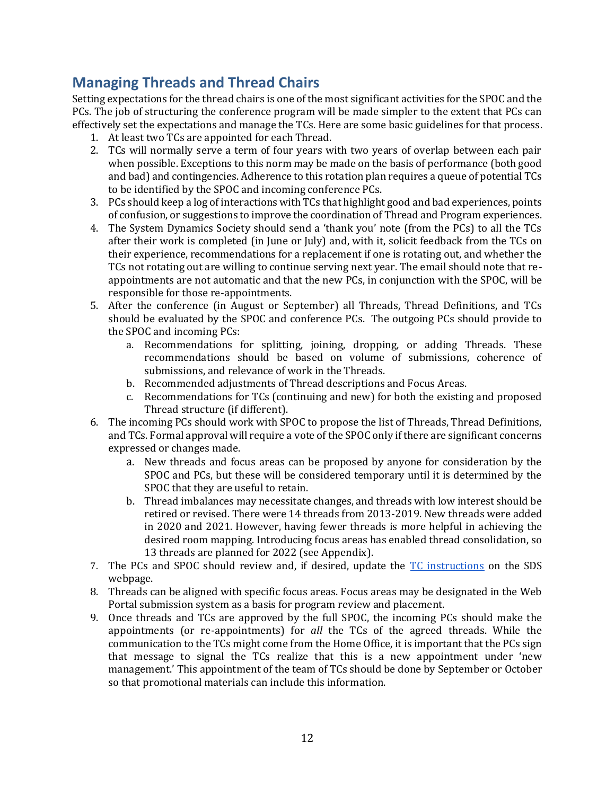# <span id="page-11-0"></span>**Managing Threads and Thread Chairs**

Setting expectations for the thread chairs is one of the most significant activities for the SPOC and the PCs. The job of structuring the conference program will be made simpler to the extent that PCs can effectively set the expectations and manage the TCs. Here are some basic guidelines for that process.

- 1. At least two TCs are appointed for each Thread.
- 2. TCs will normally serve a term of four years with two years of overlap between each pair when possible. Exceptions to this norm may be made on the basis of performance (both good and bad) and contingencies. Adherence to this rotation plan requires a queue of potential TCs to be identified by the SPOC and incoming conference PCs.
- 3. PCs should keep a log of interactions with TCs that highlight good and bad experiences, points of confusion, or suggestions to improve the coordination of Thread and Program experiences.
- 4. The System Dynamics Society should send a 'thank you' note (from the PCs) to all the TCs after their work is completed (in June or July) and, with it, solicit feedback from the TCs on their experience, recommendations for a replacement if one is rotating out, and whether the TCs not rotating out are willing to continue serving next year. The email should note that reappointments are not automatic and that the new PCs, in conjunction with the SPOC, will be responsible for those re-appointments.
- 5. After the conference (in August or September) all Threads, Thread Definitions, and TCs should be evaluated by the SPOC and conference PCs. The outgoing PCs should provide to the SPOC and incoming PCs:
	- a. Recommendations for splitting, joining, dropping, or adding Threads. These recommendations should be based on volume of submissions, coherence of submissions, and relevance of work in the Threads.
	- b. Recommended adjustments of Thread descriptions and Focus Areas.
	- c. Recommendations for TCs (continuing and new) for both the existing and proposed Thread structure (if different).
- 6. The incoming PCs should work with SPOC to propose the list of Threads, Thread Definitions, and TCs. Formal approval will require a vote of the SPOC only if there are significant concerns expressed or changes made.
	- a. New threads and focus areas can be proposed by anyone for consideration by the SPOC and PCs, but these will be considered temporary until it is determined by the SPOC that they are useful to retain.
	- b. Thread imbalances may necessitate changes, and threads with low interest should be retired or revised. There were 14 threads from 2013-2019. New threads were added in 2020 and 2021. However, having fewer threads is more helpful in achieving the desired room mapping. Introducing focus areas has enabled thread consolidation, so 13 threads are planned for 2022 (see Appendix).
- 7. The PCs and SPOC should review and, if desired, update the [TC instructions](https://webportal.systemdynamics.org/documents/ThreadChairInstructions.docx) on the SDS webpage.
- 8. Threads can be aligned with specific focus areas. Focus areas may be designated in the Web Portal submission system as a basis for program review and placement.
- 9. Once threads and TCs are approved by the full SPOC, the incoming PCs should make the appointments (or re-appointments) for *all* the TCs of the agreed threads. While the communication to the TCs might come from the Home Office, it is important that the PCs sign that message to signal the TCs realize that this is a new appointment under 'new management.' This appointment of the team of TCs should be done by September or October so that promotional materials can include this information.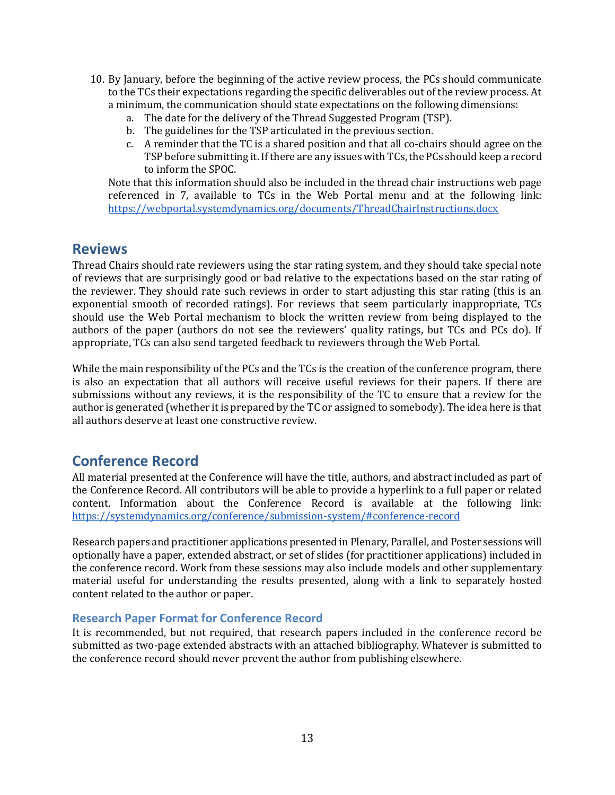- 10. By January, before the beginning of the active review process, the PCs should communicate to the TCs their expectations regarding the specific deliverables out of the review process. At a minimum, the communication should state expectations on the following dimensions:
	- a. The date for the delivery of the Thread Suggested Program (TSP).
	- b. The guidelines for the TSP articulated in the previous section.
	- c. A reminder that the TC is a shared position and that all co-chairs should agree on the TSP before submitting it. If there are any issues with TCs, the PCs should keep a record to inform the SPOC.

Note that this information should also be included in the thread chair instructions web page referenced in 7, available to TCs in the Web Portal menu and at the following link: <https://webportal.systemdynamics.org/documents/ThreadChairInstructions.docx>

### <span id="page-12-0"></span>**Reviews**

Thread Chairs should rate reviewers using the star rating system, and they should take special note of reviews that are surprisingly good or bad relative to the expectations based on the star rating of the reviewer. They should rate such reviews in order to start adjusting this star rating (this is an exponential smooth of recorded ratings). For reviews that seem particularly inappropriate, TCs should use the Web Portal mechanism to block the written review from being displayed to the authors of the paper (authors do not see the reviewers' quality ratings, but TCs and PCs do). If appropriate, TCs can also send targeted feedback to reviewers through the Web Portal.

While the main responsibility of the PCs and the TCs is the creation of the conference program, there is also an expectation that all authors will receive useful reviews for their papers. If there are submissions without any reviews, it is the responsibility of the TC to ensure that a review for the author is generated (whether it is prepared by the TC or assigned to somebody). The idea here is that all authors deserve at least one constructive review.

## <span id="page-12-1"></span>**Conference Record**

All material presented at the Conference will have the title, authors, and abstract included as part of the Conference Record. All contributors will be able to provide a hyperlink to a full paper or related content. Information about the Conference Record is available at the following link: <https://systemdynamics.org/conference/submission-system/#conference-record>

Research papers and practitioner applications presented in Plenary, Parallel, and Poster sessions will optionally have a paper, extended abstract, or set of slides (for practitioner applications) included in the conference record. Work from these sessions may also include models and other supplementary material useful for understanding the results presented, along with a link to separately hosted content related to the author or paper.

#### <span id="page-12-2"></span>**Research Paper Format for Conference Record**

It is recommended, but not required, that research papers included in the conference record be submitted as two-page extended abstracts with an attached bibliography. Whatever is submitted to the conference record should never prevent the author from publishing elsewhere.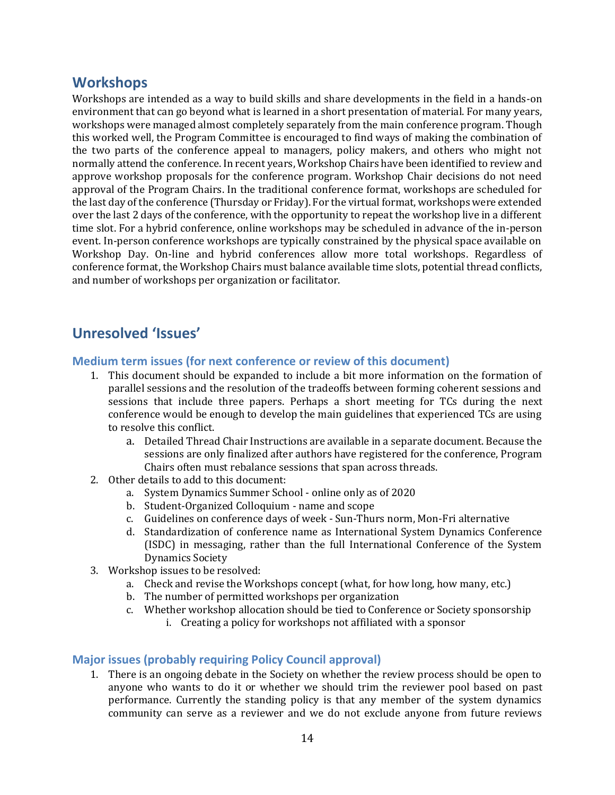### <span id="page-13-0"></span>**Workshops**

Workshops are intended as a way to build skills and share developments in the field in a hands-on environment that can go beyond what is learned in a short presentation of material. For many years, workshops were managed almost completely separately from the main conference program. Though this worked well, the Program Committee is encouraged to find ways of making the combination of the two parts of the conference appeal to managers, policy makers, and others who might not normally attend the conference. In recent years, Workshop Chairs have been identified to review and approve workshop proposals for the conference program. Workshop Chair decisions do not need approval of the Program Chairs. In the traditional conference format, workshops are scheduled for the last day of the conference (Thursday or Friday). For the virtual format, workshops were extended over the last 2 days of the conference, with the opportunity to repeat the workshop live in a different time slot. For a hybrid conference, online workshops may be scheduled in advance of the in-person event. In-person conference workshops are typically constrained by the physical space available on Workshop Day. On-line and hybrid conferences allow more total workshops. Regardless of conference format, the Workshop Chairs must balance available time slots, potential thread conflicts, and number of workshops per organization or facilitator.

## <span id="page-13-1"></span>**Unresolved 'Issues'**

#### <span id="page-13-2"></span>**Medium term issues (for next conference or review of this document)**

- 1. This document should be expanded to include a bit more information on the formation of parallel sessions and the resolution of the tradeoffs between forming coherent sessions and sessions that include three papers. Perhaps a short meeting for TCs during the next conference would be enough to develop the main guidelines that experienced TCs are using to resolve this conflict.
	- a. Detailed Thread Chair Instructions are available in a separate document. Because the sessions are only finalized after authors have registered for the conference, Program Chairs often must rebalance sessions that span across threads.
- 2. Other details to add to this document:
	- a. System Dynamics Summer School online only as of 2020
	- b. Student-Organized Colloquium name and scope
	- c. Guidelines on conference days of week Sun-Thurs norm, Mon-Fri alternative
	- d. Standardization of conference name as International System Dynamics Conference (ISDC) in messaging, rather than the full International Conference of the System Dynamics Society
- 3. Workshop issues to be resolved:
	- a. Check and revise the Workshops concept (what, for how long, how many, etc.)
	- b. The number of permitted workshops per organization
	- c. Whether workshop allocation should be tied to Conference or Society sponsorship
		- i. Creating a policy for workshops not affiliated with a sponsor

#### <span id="page-13-3"></span>**Major issues (probably requiring Policy Council approval)**

1. There is an ongoing debate in the Society on whether the review process should be open to anyone who wants to do it or whether we should trim the reviewer pool based on past performance. Currently the standing policy is that any member of the system dynamics community can serve as a reviewer and we do not exclude anyone from future reviews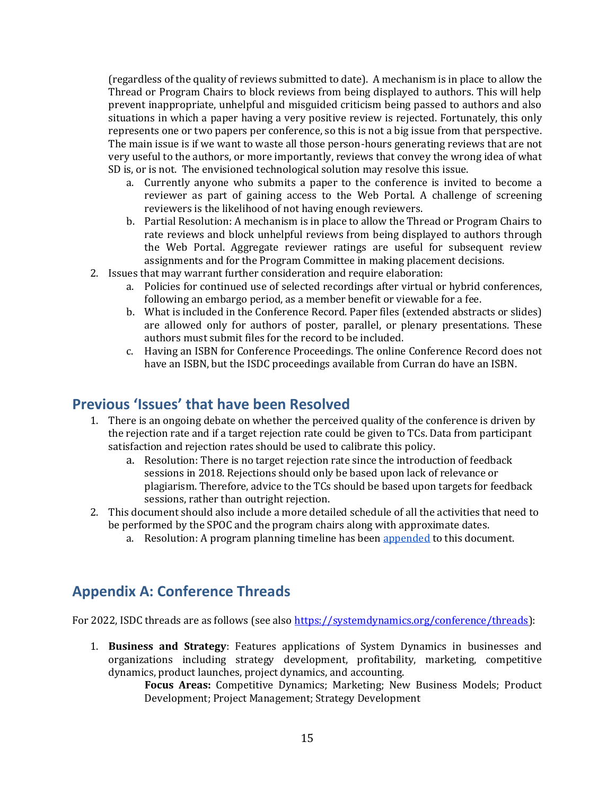(regardless of the quality of reviews submitted to date). A mechanism is in place to allow the Thread or Program Chairs to block reviews from being displayed to authors. This will help prevent inappropriate, unhelpful and misguided criticism being passed to authors and also situations in which a paper having a very positive review is rejected. Fortunately, this only represents one or two papers per conference, so this is not a big issue from that perspective. The main issue is if we want to waste all those person-hours generating reviews that are not very useful to the authors, or more importantly, reviews that convey the wrong idea of what SD is, or is not. The envisioned technological solution may resolve this issue.

- a. Currently anyone who submits a paper to the conference is invited to become a reviewer as part of gaining access to the Web Portal. A challenge of screening reviewers is the likelihood of not having enough reviewers.
- b. Partial Resolution: A mechanism is in place to allow the Thread or Program Chairs to rate reviews and block unhelpful reviews from being displayed to authors through the Web Portal. Aggregate reviewer ratings are useful for subsequent review assignments and for the Program Committee in making placement decisions.
- 2. Issues that may warrant further consideration and require elaboration:
	- a. Policies for continued use of selected recordings after virtual or hybrid conferences, following an embargo period, as a member benefit or viewable for a fee.
	- b. What is included in the Conference Record. Paper files (extended abstracts or slides) are allowed only for authors of poster, parallel, or plenary presentations. These authors must submit files for the record to be included.
	- c. Having an ISBN for Conference Proceedings. The online Conference Record does not have an ISBN, but the ISDC proceedings available from Curran do have an ISBN.

### <span id="page-14-0"></span>**Previous 'Issues' that have been Resolved**

- 1. There is an ongoing debate on whether the perceived quality of the conference is driven by the rejection rate and if a target rejection rate could be given to TCs. Data from participant satisfaction and rejection rates should be used to calibrate this policy.
	- a. Resolution: There is no target rejection rate since the introduction of feedback sessions in 2018. Rejections should only be based upon lack of relevance or plagiarism. Therefore, advice to the TCs should be based upon targets for feedback sessions, rather than outright rejection.
- 2. This document should also include a more detailed schedule of all the activities that need to be performed by the SPOC and the program chairs along with approximate dates.
	- a. Resolution: A program planning timeline has been appended to this document.

## <span id="page-14-1"></span>**Appendix A: Conference Threads**

For 2022, ISDC threads are as follows (see also [https://systemdynamics.org/conference/threads\)](https://systemdynamics.org/conference/threads):

1. **Business and Strategy**: Features applications of System Dynamics in businesses and organizations including strategy development, profitability, marketing, competitive dynamics, product launches, project dynamics, and accounting.

> **Focus Areas:** Competitive Dynamics; Marketing; New Business Models; Product Development; Project Management; Strategy Development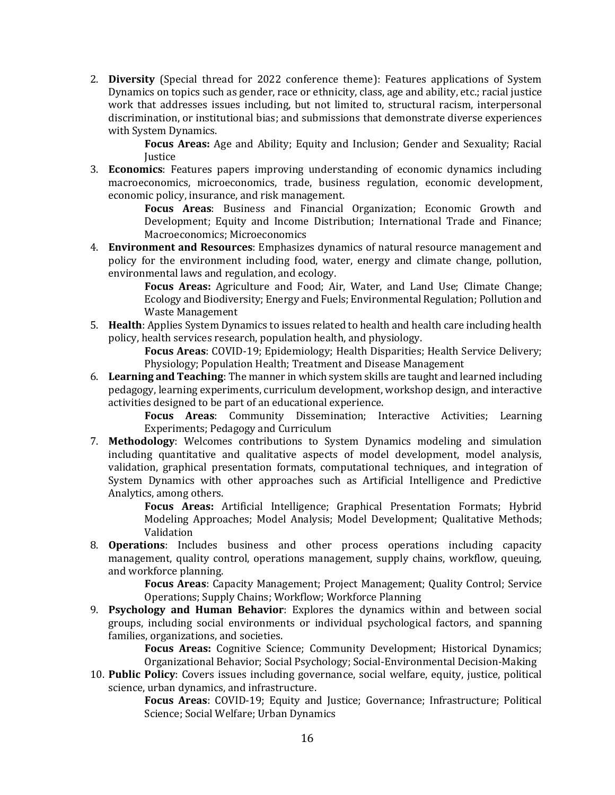2. **Diversity** (Special thread for 2022 conference theme): Features applications of System Dynamics on topics such as gender, race or ethnicity, class, age and ability, etc.; racial justice work that addresses issues including, but not limited to, structural racism, interpersonal discrimination, or institutional bias; and submissions that demonstrate diverse experiences with System Dynamics.

> **Focus Areas:** Age and Ability; Equity and Inclusion; Gender and Sexuality; Racial **Iustice**

3. **Economics**: Features papers improving understanding of economic dynamics including macroeconomics, microeconomics, trade, business regulation, economic development, economic policy, insurance, and risk management.

> **Focus Areas**: Business and Financial Organization; Economic Growth and Development; Equity and Income Distribution; International Trade and Finance; Macroeconomics; Microeconomics

4. **Environment and Resources**: Emphasizes dynamics of natural resource management and policy for the environment including food, water, energy and climate change, pollution, environmental laws and regulation, and ecology.

> **Focus Areas:** Agriculture and Food; Air, Water, and Land Use; Climate Change; Ecology and Biodiversity; Energy and Fuels; Environmental Regulation; Pollution and Waste Management

5. **Health**: Applies System Dynamics to issues related to health and health care including health policy, health services research, population health, and physiology.

> **Focus Areas**: COVID-19; Epidemiology; Health Disparities; Health Service Delivery; Physiology; Population Health; Treatment and Disease Management

6. **Learning and Teaching**: The manner in which system skills are taught and learned including pedagogy, learning experiments, curriculum development, workshop design, and interactive activities designed to be part of an educational experience.

> **Focus Areas**: Community Dissemination; Interactive Activities; Learning Experiments; Pedagogy and Curriculum

7. **Methodology**: Welcomes contributions to System Dynamics modeling and simulation including quantitative and qualitative aspects of model development, model analysis, validation, graphical presentation formats, computational techniques, and integration of System Dynamics with other approaches such as Artificial Intelligence and Predictive Analytics, among others.

> **Focus Areas:** Artificial Intelligence; Graphical Presentation Formats; Hybrid Modeling Approaches; Model Analysis; Model Development; Qualitative Methods; Validation

8. **Operations**: Includes business and other process operations including capacity management, quality control, operations management, supply chains, workflow, queuing, and workforce planning.

> **Focus Areas**: Capacity Management; Project Management; Quality Control; Service Operations; Supply Chains; Workflow; Workforce Planning

9. **Psychology and Human Behavior**: Explores the dynamics within and between social groups, including social environments or individual psychological factors, and spanning families, organizations, and societies.

> **Focus Areas:** Cognitive Science; Community Development; Historical Dynamics; Organizational Behavior; Social Psychology; Social-Environmental Decision-Making

10. **Public Policy**: Covers issues including governance, social welfare, equity, justice, political science, urban dynamics, and infrastructure.

> **Focus Areas**: COVID-19; Equity and Justice; Governance; Infrastructure; Political Science; Social Welfare; Urban Dynamics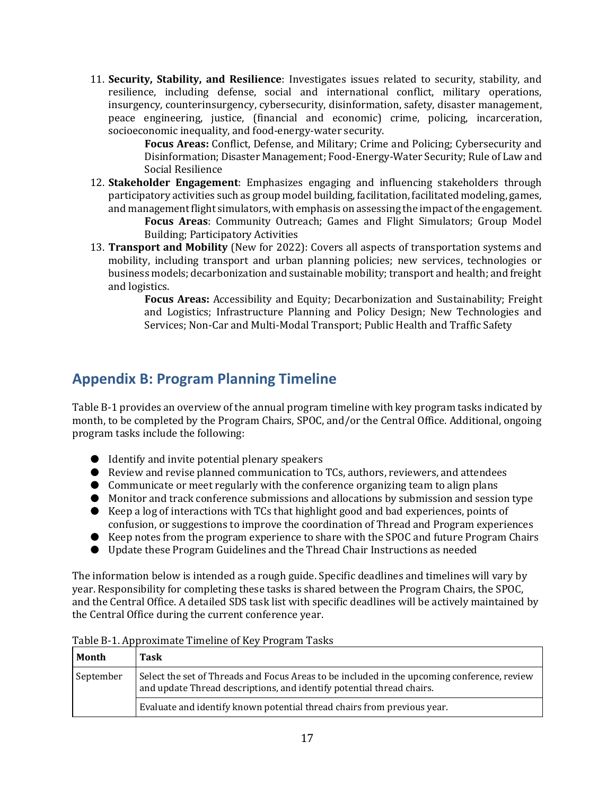11. **Security, Stability, and Resilience**: Investigates issues related to security, stability, and resilience, including defense, social and international conflict, military operations, insurgency, counterinsurgency, cybersecurity, disinformation, safety, disaster management, peace engineering, justice, (financial and economic) crime, policing, incarceration, socioeconomic inequality, and food-energy-water security.

**Focus Areas:** Conflict, Defense, and Military; Crime and Policing; Cybersecurity and Disinformation; Disaster Management; Food-Energy-Water Security; Rule of Law and Social Resilience

12. **Stakeholder Engagement**: Emphasizes engaging and influencing stakeholders through participatory activities such as group model building, facilitation, facilitated modeling, games, and management flight simulators, with emphasis on assessing the impact of the engagement. **Focus Areas**: Community Outreach; Games and Flight Simulators; Group Model

Building; Participatory Activities

13. **Transport and Mobility** (New for 2022): Covers all aspects of transportation systems and mobility, including transport and urban planning policies; new services, technologies or business models; decarbonization and sustainable mobility; transport and health; and freight and logistics.

**Focus Areas:** Accessibility and Equity; Decarbonization and Sustainability; Freight and Logistics; Infrastructure Planning and Policy Design; New Technologies and Services; Non-Car and Multi-Modal Transport; Public Health and Traffic Safety

# <span id="page-16-0"></span>**Appendix B: Program Planning Timeline**

Table B-1 provides an overview of the annual program timeline with key program tasks indicated by month, to be completed by the Program Chairs, SPOC, and/or the Central Office. Additional, ongoing program tasks include the following:

- Identify and invite potential plenary speakers
- Review and revise planned communication to TCs, authors, reviewers, and attendees
- Communicate or meet regularly with the conference organizing team to align plans
- Monitor and track conference submissions and allocations by submission and session type
- Keep a log of interactions with TCs that highlight good and bad experiences, points of confusion, or suggestions to improve the coordination of Thread and Program experiences
- Keep notes from the program experience to share with the SPOC and future Program Chairs
- Update these Program Guidelines and the Thread Chair Instructions as needed

The information below is intended as a rough guide. Specific deadlines and timelines will vary by year. Responsibility for completing these tasks is shared between the Program Chairs, the SPOC, and the Central Office. A detailed SDS task list with specific deadlines will be actively maintained by the Central Office during the current conference year.

| Month     | Task                                                                                                                                                                 |
|-----------|----------------------------------------------------------------------------------------------------------------------------------------------------------------------|
| September | Select the set of Threads and Focus Areas to be included in the upcoming conference, review<br>and update Thread descriptions, and identify potential thread chairs. |
|           | Evaluate and identify known potential thread chairs from previous year.                                                                                              |

Table B-1. Approximate Timeline of Key Program Tasks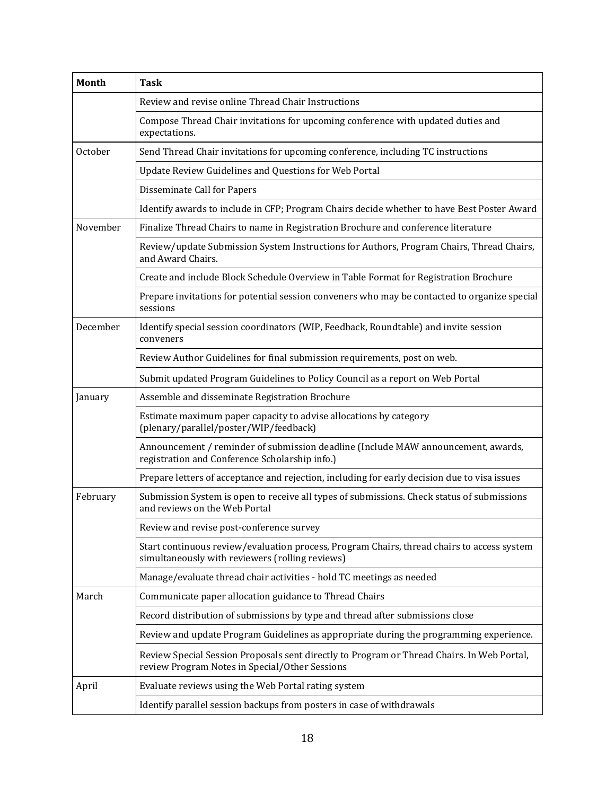| <b>Month</b> | <b>Task</b>                                                                                                                                   |
|--------------|-----------------------------------------------------------------------------------------------------------------------------------------------|
|              | Review and revise online Thread Chair Instructions                                                                                            |
|              | Compose Thread Chair invitations for upcoming conference with updated duties and<br>expectations.                                             |
| October      | Send Thread Chair invitations for upcoming conference, including TC instructions                                                              |
|              | Update Review Guidelines and Questions for Web Portal                                                                                         |
|              | Disseminate Call for Papers                                                                                                                   |
|              | Identify awards to include in CFP; Program Chairs decide whether to have Best Poster Award                                                    |
| November     | Finalize Thread Chairs to name in Registration Brochure and conference literature                                                             |
|              | Review/update Submission System Instructions for Authors, Program Chairs, Thread Chairs,<br>and Award Chairs.                                 |
|              | Create and include Block Schedule Overview in Table Format for Registration Brochure                                                          |
|              | Prepare invitations for potential session conveners who may be contacted to organize special<br>sessions                                      |
| December     | Identify special session coordinators (WIP, Feedback, Roundtable) and invite session<br>conveners                                             |
|              | Review Author Guidelines for final submission requirements, post on web.                                                                      |
|              | Submit updated Program Guidelines to Policy Council as a report on Web Portal                                                                 |
| January      | Assemble and disseminate Registration Brochure                                                                                                |
|              | Estimate maximum paper capacity to advise allocations by category<br>(plenary/parallel/poster/WIP/feedback)                                   |
|              | Announcement / reminder of submission deadline (Include MAW announcement, awards,<br>registration and Conference Scholarship info.)           |
|              | Prepare letters of acceptance and rejection, including for early decision due to visa issues                                                  |
| February     | Submission System is open to receive all types of submissions. Check status of submissions<br>and reviews on the Web Portal                   |
|              | Review and revise post-conference survey                                                                                                      |
|              | Start continuous review/evaluation process, Program Chairs, thread chairs to access system<br>simultaneously with reviewers (rolling reviews) |
|              | Manage/evaluate thread chair activities - hold TC meetings as needed                                                                          |
| March        | Communicate paper allocation guidance to Thread Chairs                                                                                        |
|              | Record distribution of submissions by type and thread after submissions close                                                                 |
|              | Review and update Program Guidelines as appropriate during the programming experience.                                                        |
|              | Review Special Session Proposals sent directly to Program or Thread Chairs. In Web Portal,<br>review Program Notes in Special/Other Sessions  |
| April        | Evaluate reviews using the Web Portal rating system                                                                                           |
|              | Identify parallel session backups from posters in case of withdrawals                                                                         |